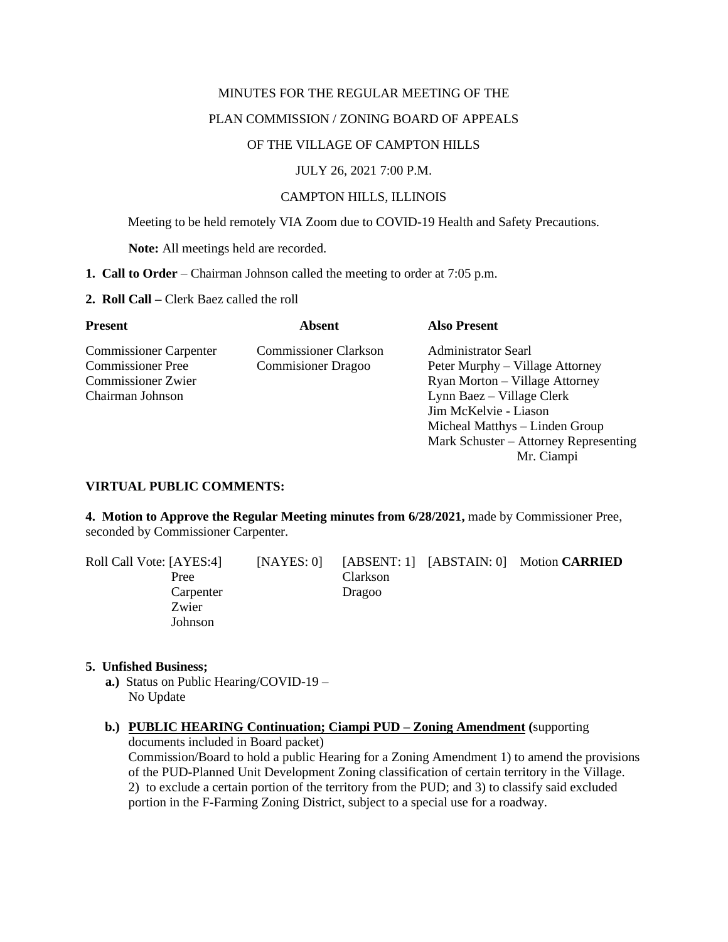## MINUTES FOR THE REGULAR MEETING OF THE

# PLAN COMMISSION / ZONING BOARD OF APPEALS

## OF THE VILLAGE OF CAMPTON HILLS

## JULY 26, 2021 7:00 P.M.

## CAMPTON HILLS, ILLINOIS

Meeting to be held remotely VIA Zoom due to COVID-19 Health and Safety Precautions.

**Note:** All meetings held are recorded.

- **1. Call to Order** Chairman Johnson called the meeting to order at 7:05 p.m.
- **2. Roll Call –** Clerk Baez called the roll

| <b>Present</b>                | Absent                       | <b>Also Present</b>                   |
|-------------------------------|------------------------------|---------------------------------------|
| <b>Commissioner Carpenter</b> | <b>Commissioner Clarkson</b> | <b>Administrator Searl</b>            |
| <b>Commissioner</b> Pree      | <b>Commisioner Dragoo</b>    | Peter Murphy – Village Attorney       |
| <b>Commissioner Zwier</b>     |                              | Ryan Morton – Village Attorney        |
| Chairman Johnson              |                              | Lynn Baez – Village Clerk             |
|                               |                              | Jim McKelvie - Liason                 |
|                               |                              | Micheal Matthys – Linden Group        |
|                               |                              | Mark Schuster – Attorney Representing |
|                               |                              | Mr. Ciampi                            |

## **VIRTUAL PUBLIC COMMENTS:**

**4. Motion to Approve the Regular Meeting minutes from 6/28/2021,** made by Commissioner Pree, seconded by Commissioner Carpenter.

| Roll Call Vote: [AYES:4] | [NAYES: 0] |          | [ABSENT: 1] [ABSTAIN: 0] Motion CARRIED |
|--------------------------|------------|----------|-----------------------------------------|
| Pree                     |            | Clarkson |                                         |
| Carpenter                |            | Dragoo   |                                         |
| Zwier                    |            |          |                                         |
| Johnson                  |            |          |                                         |

### **5. Unfished Business;**

- **a.)** Status on Public Hearing/COVID-19 No Update
- **b.) PUBLIC HEARING Continuation; Ciampi PUD – Zoning Amendment (**supporting documents included in Board packet)

Commission/Board to hold a public Hearing for a Zoning Amendment 1) to amend the provisions of the PUD-Planned Unit Development Zoning classification of certain territory in the Village. 2) to exclude a certain portion of the territory from the PUD; and 3) to classify said excluded portion in the F-Farming Zoning District, subject to a special use for a roadway.